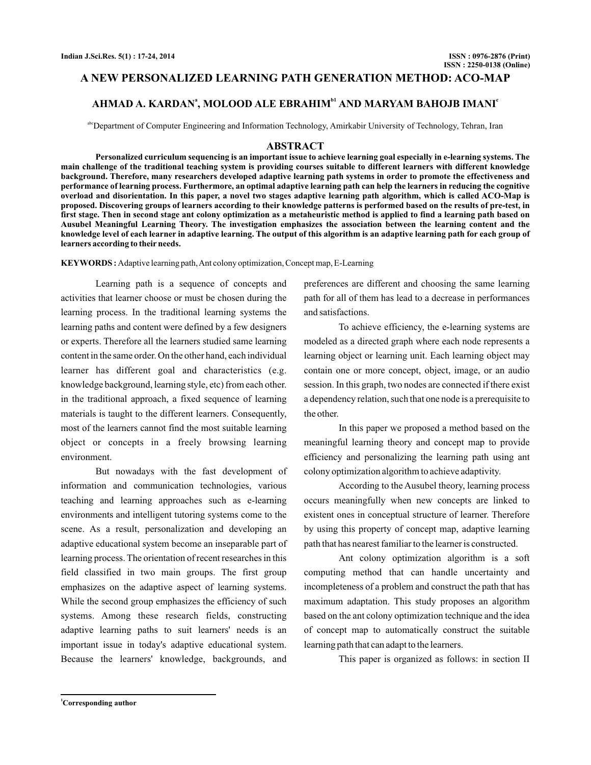## **A NEW PERSONALIZED LEARNING PATH GENERATION METHOD: ACO-MAP**

## **AHMAD A. KARDAN , MOLOOD ALE EBRAHIM AND MARYAM BAHOJB IMANI <sup>a</sup> b1 <sup>c</sup>**

abcDepartment of Computer Engineering and Information Technology, Amirkabir University of Technology, Tehran, Iran

#### **ABSTRACT**

**Personalized curriculum sequencing is an important issue to achieve learning goal especially in e-learning systems. The main challenge of the traditional teaching system is providing courses suitable to different learners with different knowledge background. Therefore, many researchers developed adaptive learning path systems in order to promote the effectiveness and performance of learning process. Furthermore, an optimal adaptive learning path can help the learners in reducing the cognitive overload and disorientation. In this paper, a novel two stages adaptive learning path algorithm, which is called ACO-Map is proposed. Discovering groups of learners according to their knowledge patterns is performed based on the results of pre-test, in first stage. Then in second stage ant colony optimization as a metaheuristic method is applied to find a learning path based on Ausubel Meaningful Learning Theory. The investigation emphasizes the association between the learning content and the knowledge level of each learner in adaptive learning. The output of this algorithm is an adaptive learning path for each group of learners according to their needs.**

**KEYWORDS :** Adaptive learning path,Ant colony optimization, Concept map, E-Learning

Learning path is a sequence of concepts and activities that learner choose or must be chosen during the learning process. In the traditional learning systems the learning paths and content were defined by a few designers or experts. Therefore all the learners studied same learning content in the same order. On the other hand, each individual learner has different goal and characteristics (e.g. knowledge background, learning style, etc) from each other. in the traditional approach, a fixed sequence of learning materials is taught to the different learners. Consequently, most of the learners cannot find the most suitable learning object or concepts in a freely browsing learning environment.

But nowadays with the fast development of information and communication technologies, various teaching and learning approaches such as e-learning environments and intelligent tutoring systems come to the scene. As a result, personalization and developing an adaptive educational system become an inseparable part of learning process. The orientation of recent researches in this field classified in two main groups. The first group emphasizes on the adaptive aspect of learning systems. While the second group emphasizes the efficiency of such systems. Among these research fields, constructing adaptive learning paths to suit learners' needs is an important issue in today's adaptive educational system. Because the learners' knowledge, backgrounds, and

preferences are different and choosing the same learning path for all of them has lead to a decrease in performances and satisfactions.

To achieve efficiency, the e-learning systems are modeled as a directed graph where each node represents a learning object or learning unit. Each learning object may contain one or more concept, object, image, or an audio session. In this graph, two nodes are connected if there exist a dependency relation, such that one node is a prerequisite to the other.

In this paper we proposed a method based on the meaningful learning theory and concept map to provide efficiency and personalizing the learning path using ant colony optimization algorithm to achieve adaptivity.

According to the Ausubel theory, learning process occurs meaningfully when new concepts are linked to existent ones in conceptual structure of learner. Therefore by using this property of concept map, adaptive learning path that has nearest familiar to the learner is constructed.

Ant colony optimization algorithm is a soft computing method that can handle uncertainty and incompleteness of a problem and construct the path that has maximum adaptation. This study proposes an algorithm based on the ant colony optimization technique and the idea of concept map to automatically construct the suitable learning path that can adapt to the learners.

This paper is organized as follows: in section II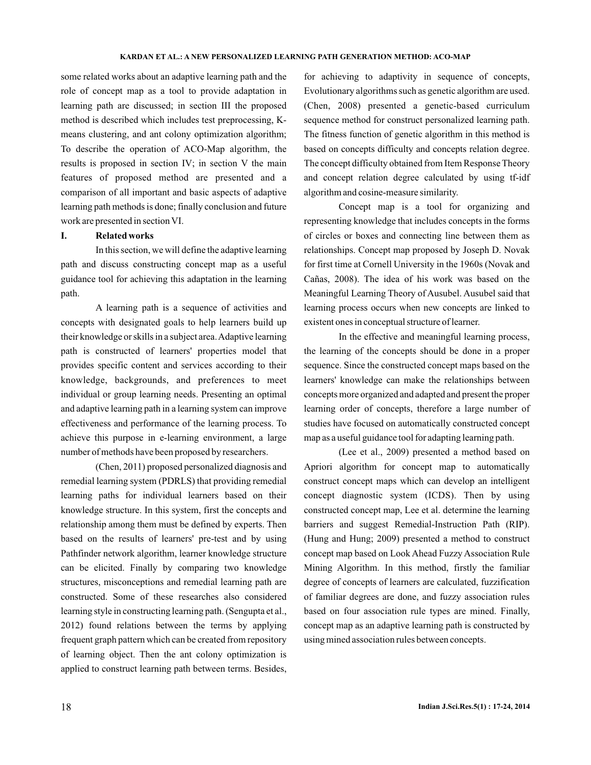some related works about an adaptive learning path and the role of concept map as a tool to provide adaptation in learning path are discussed; in section III the proposed method is described which includes test preprocessing, Kmeans clustering, and ant colony optimization algorithm; To describe the operation of ACO-Map algorithm, the results is proposed in section IV; in section V the main features of proposed method are presented and a comparison of all important and basic aspects of adaptive learning path methods is done; finally conclusion and future work are presented in section VI.

## **I. Related works**

In this section, we will define the adaptive learning path and discuss constructing concept map as a useful guidance tool for achieving this adaptation in the learning path.

A learning path is a sequence of activities and concepts with designated goals to help learners build up their knowledge or skills in a subject area.Adaptive learning path is constructed of learners' properties model that provides specific content and services according to their knowledge, backgrounds, and preferences to meet individual or group learning needs. Presenting an optimal and adaptive learning path in a learning system can improve effectiveness and performance of the learning process. To achieve this purpose in e-learning environment, a large number of methods have been proposed by researchers.

(Chen, 2011) proposed personalized diagnosis and remedial learning system (PDRLS) that providing remedial learning paths for individual learners based on their knowledge structure. In this system, first the concepts and relationship among them must be defined by experts. Then based on the results of learners' pre-test and by using Pathfinder network algorithm, learner knowledge structure can be elicited. Finally by comparing two knowledge structures, misconceptions and remedial learning path are constructed. Some of these researches also considered learning style in constructing learning path. (Sengupta et al., 2012) found relations between the terms by applying frequent graph pattern which can be created from repository of learning object. Then the ant colony optimization is applied to construct learning path between terms. Besides,

for achieving to adaptivity in sequence of concepts, Evolutionary algorithms such as genetic algorithm are used. (Chen, 2008) presented a genetic-based curriculum sequence method for construct personalized learning path. The fitness function of genetic algorithm in this method is based on concepts difficulty and concepts relation degree. The concept difficulty obtained from Item Response Theory and concept relation degree calculated by using tf-idf algorithm and cosine-measure similarity.

Concept map is a tool for organizing and representing knowledge that includes concepts in the forms of circles or boxes and connecting line between them as relationships. Concept map proposed by Joseph D. Novak for first time at Cornell University in the 1960s (Novak and Cañas, 2008). The idea of his work was based on the Meaningful Learning Theory of Ausubel. Ausubel said that learning process occurs when new concepts are linked to existent ones in conceptual structure of learner.

In the effective and meaningful learning process, the learning of the concepts should be done in a proper sequence. Since the constructed concept maps based on the learners' knowledge can make the relationships between concepts more organized and adapted and present the proper learning order of concepts, therefore a large number of studies have focused on automatically constructed concept map as a useful guidance tool for adapting learning path.

(Lee et al., 2009) presented a method based on Apriori algorithm for concept map to automatically construct concept maps which can develop an intelligent concept diagnostic system (ICDS). Then by using constructed concept map, Lee et al. determine the learning barriers and suggest Remedial-Instruction Path (RIP). (Hung and Hung; 2009) presented a method to construct concept map based on Look Ahead Fuzzy Association Rule Mining Algorithm. In this method, firstly the familiar degree of concepts of learners are calculated, fuzzification of familiar degrees are done, and fuzzy association rules based on four association rule types are mined. Finally, concept map as an adaptive learning path is constructed by using mined association rules between concepts.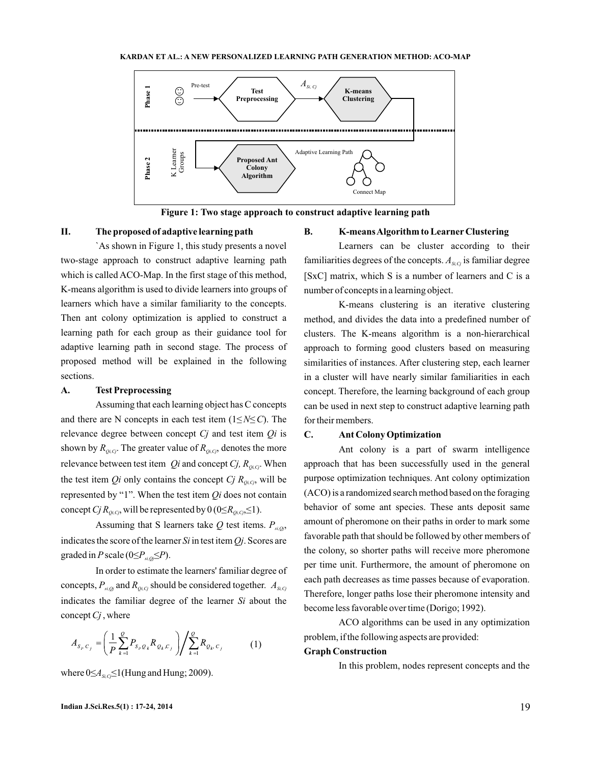

**Figure 1: Two stage approach to construct adaptive learning path**

#### **II. The proposed of adaptive learning path**

`As shown in Figure 1, this study presents a novel two-stage approach to construct adaptive learning path which is called ACO-Map. In the first stage of this method, K-means algorithm is used to divide learners into groups of learners which have a similar familiarity to the concepts. Then ant colony optimization is applied to construct a learning path for each group as their guidance tool for adaptive learning path in second stage. The process of proposed method will be explained in the following sections.

### **A. Test Preprocessing**

Assuming that each learning object has C concepts and there are N concepts in each test item  $(1 \le N \le C)$ . The relevance degree between concept C<sub>j</sub> and test item Qi is shown by  $R_{\varrho_{i,C_j}}$ . The greater value of  $R_{\varrho_{i,C_j}}$ , denotes the more relevance between test item  $Q_i$  and concept  $C_j$ ,  $R_{Q_i, C_j}$ . When the test item *Qi* only contains the concept *Cj*  $R_{\rho_i, c_j}$ , will be represented by "1". When the test item  $Q_i$  does not contain concept *Cj*  $R_{\rho_i, q}$ , will be represented by  $0$  (0  $\leq R_{\rho_i, q} \leq 1$ ).

Assuming that S learners take  $Q$  test items.  $P_{si,Qj}$ , indicates the score of the learner  $Si$  in test item  $Qj$ . Scores are graded in P scale  $(0 \le P_{si,oj} \le P)$ .

In order to estimate the learners' familiar degree of concepts,  $P_{\scriptscriptstyle{si,Qj}}$  and  $R_{\scriptscriptstyle{Qi,Gj}}$  should be considered together.  $A_{\scriptscriptstyle{Si,Gj}}$ indicates the familiar degree of the learner Si about the concept *Cj*, where

$$
A_{S_i, C_j} = \left(\frac{1}{P} \sum_{k=1}^{Q} P_{S_i, Q_k} R_{Q_k, C_j}\right) / \sum_{k=1}^{Q} R_{Q_k, C_j} \tag{1}
$$

where  $0 \leq A_{s_i, c_j} \leq 1$  (Hung and Hung; 2009).

## **B. K-meansAlgorithm to Learner Clustering**

Learners can be cluster according to their familiarities degrees of the concepts.  $A_{s_i}$  is familiar degree [SxC] matrix, which S is a number of learners and C is a number of concepts in a learning object.

K-means clustering is an iterative clustering method, and divides the data into a predefined number of clusters. The K-means algorithm is a non-hierarchical approach to forming good clusters based on measuring similarities of instances. After clustering step, each learner in a cluster will have nearly similar familiarities in each concept. Therefore, the learning background of each group can be used in next step to construct adaptive learning path for their members.

## **C. Ant Colony Optimization**

Ant colony is a part of swarm intelligence approach that has been successfully used in the general purpose optimization techniques. Ant colony optimization (ACO) is a randomized search method based on the foraging behavior of some ant species. These ants deposit same amount of pheromone on their paths in order to mark some favorable path that should be followed by other members of the colony, so shorter paths will receive more pheromone per time unit. Furthermore, the amount of pheromone on each path decreases as time passes because of evaporation. Therefore, longer paths lose their pheromone intensity and become less favorable over time (Dorigo; 1992).

ACO algorithms can be used in any optimization problem, if the following aspects are provided:

## **Graph Construction**

In this problem, nodes represent concepts and the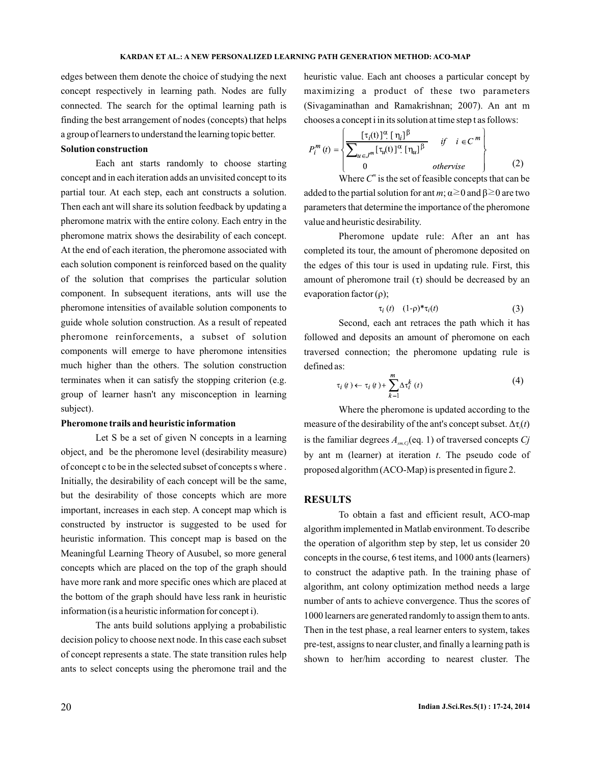edges between them denote the choice of studying the next concept respectively in learning path. Nodes are fully connected. The search for the optimal learning path is finding the best arrangement of nodes (concepts) that helps a group of learners to understand the learning topic better.

## **Solution construction**

Each ant starts randomly to choose starting concept and in each iteration adds an unvisited concept to its partial tour. At each step, each ant constructs a solution. Then each ant will share its solution feedback by updating a pheromone matrix with the entire colony. Each entry in the pheromone matrix shows the desirability of each concept. At the end of each iteration, the pheromone associated with each solution component is reinforced based on the quality of the solution that comprises the particular solution component. In subsequent iterations, ants will use the pheromone intensities of available solution components to guide whole solution construction. As a result of repeated pheromone reinforcements, a subset of solution components will emerge to have pheromone intensities much higher than the others. The solution construction terminates when it can satisfy the stopping criterion (e.g. group of learner hasn't any misconception in learning subject).

### **Pheromone trails and heuristic information**

Let S be a set of given N concepts in a learning object, and be the pheromone level (desirability measure) of concept c to be in the selected subset of concepts s where . Initially, the desirability of each concept will be the same, but the desirability of those concepts which are more important, increases in each step. A concept map which is constructed by instructor is suggested to be used for heuristic information. This concept map is based on the Meaningful Learning Theory of Ausubel, so more general concepts which are placed on the top of the graph should have more rank and more specific ones which are placed at the bottom of the graph should have less rank in heuristic information (is a heuristic information for concept i).

The ants build solutions applying a probabilistic decision policy to choose next node. In this case each subset of concept represents a state. The state transition rules help ants to select concepts using the pheromone trail and the

heuristic value. Each ant chooses a particular concept by maximizing a product of these two parameters (Sivagaminathan and Ramakrishnan; 2007). An ant m chooses a concept i in its solution at time step t as follows:

$$
P_i^m(t) = \left\{ \frac{\left[\tau_i(t)\right]^\alpha \left[\eta_i\right]^\beta}{\sum_{u \in J^m} \left[\tau_u(t)\right]^\alpha \left[\eta_u\right]^\beta} \quad \text{if} \quad i \in C^m \right\}
$$
\n
$$
otherwise \quad (2)
$$

Where  $C^m$  is the set of feasible concepts that can be added to the partial solution for ant  $m$ ;  $\alpha \ge 0$  and  $\beta \ge 0$  are two parameters that determine the importance of the pheromone value and heuristic desirability.

Pheromone update rule: After an ant has completed its tour, the amount of pheromone deposited on the edges of this tour is used in updating rule. First, this amount of pheromone trail  $(\tau)$  should be decreased by an evaporation factor  $(\rho)$ ;

$$
\tau_i(t) \quad (1-\rho)^* \tau_i(t) \tag{3}
$$

Second, each ant retraces the path which it has followed and deposits an amount of pheromone on each traversed connection; the pheromone updating rule is defined as:

$$
\tau_i(t) \leftarrow \tau_i(t) + \sum_{k=1}^{m} \Delta \tau_i^k(t) \tag{4}
$$

Where the pheromone is updated according to the measure of the desirability of the ant's concept subset.  $\Delta \tau_i(t)$ is the familiar degrees  $A_{sm,G}$  (eq. 1) of traversed concepts  $Cj$ by ant  $m$  (learner) at iteration  $t$ . The pseudo code of proposed algorithm (ACO-Map) is presented in figure 2.

### **RESULTS**

To obtain a fast and efficient result, ACO-map algorithm implemented in Matlab environment. To describe the operation of algorithm step by step, let us consider 20 concepts in the course, 6 test items, and 1000 ants (learners) to construct the adaptive path. In the training phase of algorithm, ant colony optimization method needs a large number of ants to achieve convergence. Thus the scores of 1000 learners are generated randomly to assign them to ants. Then in the test phase, a real learner enters to system, takes pre-test, assigns to near cluster, and finally a learning path is shown to her/him according to nearest cluster. The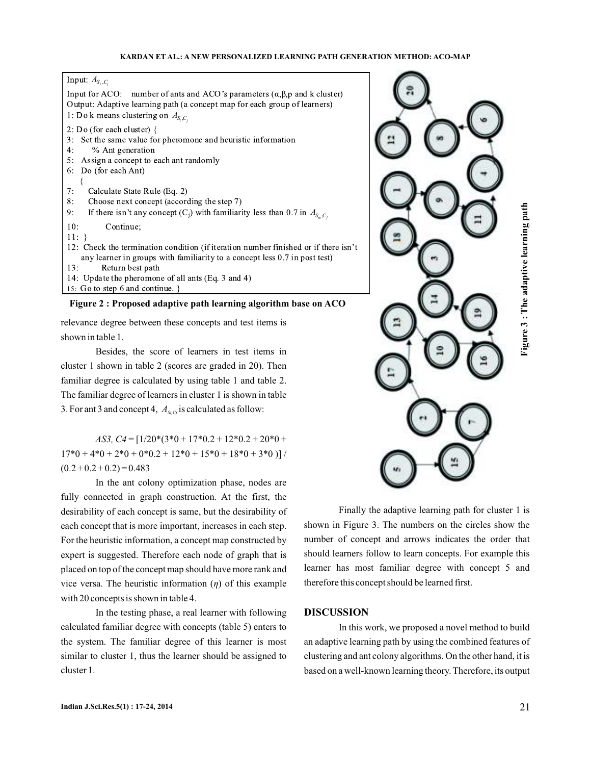$A_{S_i, C_j}$ 

Input for ACO: number of ants and ACO's parameters  $(\alpha, \beta, p)$  and k cluster) Output: Adaptive learning path (a concept map for each group of learners)  $A_{S_i, C_j}$  $2: Do$  (for each cluster) { 3: Set the same value for pheromone and heuristic information  $4:$ % Ant generation  $5:$ Assign a concept to each ant randomly 6: Do (for each Ant)  $7:$ Calculate State Rule (Eq. 2)  $8:$ Choose next concept (according the step 7)  $9:$  $A_{S_m, C_j}$  $10:$ Continue;  $11:$ } 12: Check the termination condition (if iteration number finished or if there isn't any learner in groups with familiarity to a concept less  $0.7$  in post test)  $13:$ Return best path 14: Update the pheromone of all ants (Eq. 3 and 4) 15: Go to step 6 and continue. }

**Figure 2 : Proposed adaptive path learning algorithm base on ACO**

relevance degree between these concepts and test items is shown in table 1.

Besides, the score of learners in test items in cluster 1 shown in table 2 (scores are graded in 20). Then familiar degree is calculated by using table 1 and table 2. The familiar degree of learners in cluster 1 is shown in table 3. For ant 3 and concept 4,  $A_{\textit{si},\textit{G}}$  is calculated as follow:

= [1/20\*(3\*0 + 17\*0.2 + 12\*0.2 + 20\*0 + *AS3, C4*  $17*0 + 4*0 + 2*0 + 0*0.2 + 12*0 + 15*0 + 18*0 + 3*0$  $(0.2 + 0.2 + 0.2) = 0.483$ 

In the ant colony optimization phase, nodes are fully connected in graph construction. At the first, the desirability of each concept is same, but the desirability of each concept that is more important, increases in each step. For the heuristic information, a concept map constructed by expert is suggested. Therefore each node of graph that is placed on top of the concept map should have more rank and vice versa. The heuristic information (η) of this example with 20 concepts is shown in table 4.

In the testing phase, a real learner with following calculated familiar degree with concepts (table 5) enters to the system. The familiar degree of this learner is most similar to cluster 1, thus the learner should be assigned to cluster 1.



Finally the adaptive learning path for cluster 1 is shown in Figure 3. The numbers on the circles show the number of concept and arrows indicates the order that should learners follow to learn concepts. For example this learner has most familiar degree with concept 5 and therefore this concept should be learned first.

## **DISCUSSION**

In this work, we proposed a novel method to build an adaptive learning path by using the combined features of clustering and ant colony algorithms. On the other hand, it is based on a well-known learning theory. Therefore, its output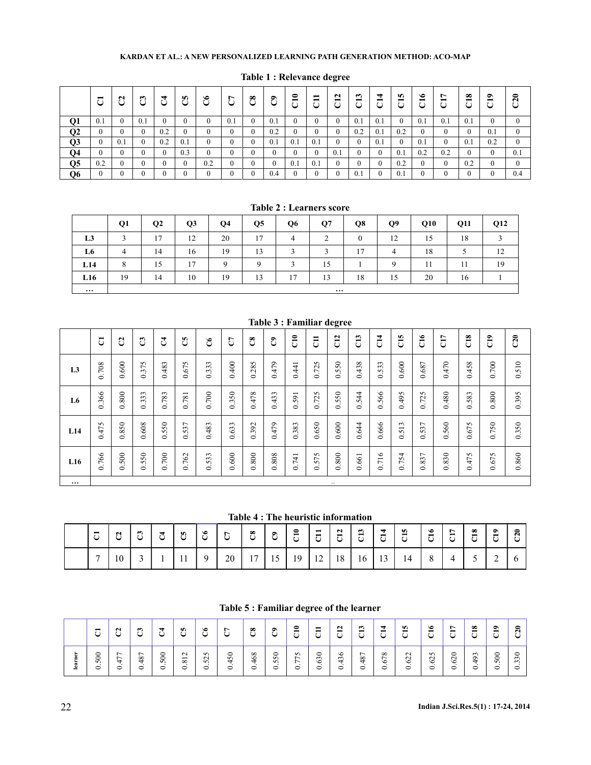|                 | −<br>ت       | $\mathbf{\Omega}$<br>$\mathbf{r}$<br>U | ئيڈ | $\mathcal{C}^{\mathbf{4}}$ | <b>In</b><br>ن | $\bullet$<br>ت | 5   | $\mathbf{C}$ | ට්           | $\tilde{c}$ | −<br>$\mathbf{r}$ | $\mathbf{\tilde{c}}$<br>ā | ొ<br>ರ | ₩<br>$\blacksquare$<br>ں | n<br>Ö       | $\bullet$<br>ರ | ↖<br>$\blacksquare$<br>ر | $\infty$<br>ರ | $\bullet$<br>ā | $\overline{C20}$ |
|-----------------|--------------|----------------------------------------|-----|----------------------------|----------------|----------------|-----|--------------|--------------|-------------|-------------------|---------------------------|--------|--------------------------|--------------|----------------|--------------------------|---------------|----------------|------------------|
| $\overline{Q1}$ | 0.1          | 0                                      | 0.1 | $\theta$                   | $\theta$       | $^{\circ}$     | 0.1 |              | 0.1          | $\theta$    |                   | $\mathbf{0}$              | 0.1    | 0.1                      | $\mathbf{0}$ | 0.1            | 0.1                      | 0.1           | $\theta$       | 0                |
| Q <sub>2</sub>  | $\mathbf{0}$ | 0                                      |     | 0.2                        | 0              | $\Omega$       |     |              | 0.2          | $\Omega$    |                   | $\mathbf{0}$              | 0.2    | 0.1                      | 0.2          | $\mathbf{0}$   |                          |               | 0.1            | $\theta$         |
| Q <sub>3</sub>  | $\mathbf{0}$ | 0.1                                    |     | 0.2                        | 0.1            | $\theta$       |     |              | 0.1          | 0.1         | 0.1               | $\mathbf{0}$              |        | 0.1                      | $\mathbf{0}$ | 0.1            | $\Omega$                 | 0.1           | 0.2            | $\Omega$         |
| $\overline{Q4}$ | $\mathbf{0}$ | $\theta$                               |     | $\theta$                   | 0.3            | $\Omega$       |     |              | $\mathbf{0}$ | $\Omega$    | ∩                 | 0.1                       |        | 0                        | 0.1          | 0.2            | 0.2                      | 0             | $\theta$       | 0.1              |
| $\overline{Q5}$ | 0.2          | $\mathbf{0}$                           |     | $\theta$                   | $\mathbf{0}$   | 0.2            | 0   |              | $\mathbf{0}$ | 0.1         | 0.1               | $\mathbf{0}$              |        | 0                        | 0.2          | $\bf{0}$       |                          | 0.2           | $\theta$       | $\Omega$         |
| Q <sub>6</sub>  | $\mathbf{0}$ | 0                                      |     |                            | $\theta$       | $\Omega$       |     |              | 0.4          | $\theta$    |                   | $\mathbf{0}$              | 0.1    |                          | 0.1          | $\mathbf{0}$   |                          |               | $\Omega$       | 0.4              |

## **Table 1 : Relevance degree**

# **Table 2 : Learners score**

|                | Q1       | Q <sub>2</sub> | Q <sub>3</sub> | Q4       | Q <sub>5</sub> | Q6     | Q7 | Q8       | Q9             | Q10 | Q11 | Q12 |
|----------------|----------|----------------|----------------|----------|----------------|--------|----|----------|----------------|-----|-----|-----|
| L <sub>3</sub> | 3        | 17             | 12             | 20       | 17             | 4      | ∍  | $\Omega$ | 12             | 15  | 18  |     |
| L6             | 4        | 14             | 16             | 19       | 13             | 3      | 3  | 17       | $\overline{4}$ | 18  | 5   | 12  |
| L14            | 8        | 15             | 17             | $\Omega$ | $\mathbf Q$    | $\sim$ | 15 |          | Q              | 11  | 11  | 19  |
| L16            | 19       | 14             | 10             | 19       | 13             | 17     | 13 | 18       | 15             | 20  | 16  |     |
| $\cdots$       | $\cdots$ |                |                |          |                |        |    |          |                |     |     |     |

|                |       |           |              |               |       |                |         |          | rapic o i i animar acquee |             |                |           |       |       |       |                |       |       |               |       |
|----------------|-------|-----------|--------------|---------------|-------|----------------|---------|----------|---------------------------|-------------|----------------|-----------|-------|-------|-------|----------------|-------|-------|---------------|-------|
|                | J     | C         | $\mathbb{C}$ | $\mathcal{L}$ | C5    | $\mathfrak{S}$ | C       | $\infty$ | ී                         | $\tilde{c}$ | $\overline{5}$ | C12       | C13   | C14   | CIS   | $\overline{c}$ | C17   | C18   | $\frac{1}{2}$ | C20   |
| L <sub>3</sub> | 0.708 | $0.600$   | 0.375        | 0.483         | 0.675 | 0.333          | 0.400   | 0.285    | 0.479                     | 0.441       | 0.725          | 0.550     | 0.438 | 0.533 | 0.600 | 0.687          | 0.470 | 0.458 | 0.700         | 0.510 |
| L6             | 0.366 | $0.800\,$ | 0.333        | 0.783         | 0.781 | 0.700          | 0.350   | 0.478    | 0.433                     | 0.591       | 0.725          | 0.550     | 0.544 | 0.566 | 0.495 | 0.725          | 0.480 | 0.583 | 0.800         | 0.395 |
| L14            | 0.475 | 0.850     | 0.608        | 0.550         | 0.537 | 0.483          | 0.633   | 0.392    | 0.479                     | 0.383       | 0.650          | $0.600\,$ | 0.644 | 0.666 | 0.513 | 0.537          | 0.560 | 0.675 | 0.750         | 0.350 |
| L16            | 0.766 | 0.500     | 0.550        | 0.700         | 0.762 | 0.533          | $0.600$ | 0.800    | 0.808                     | 0.741       | 0.575          | 0.800     | 0.661 | 0.716 | 0.754 | 0.837          | 0.830 | 0.475 | 0.675         | 0.860 |
| $\cdots$       |       |           |              |               |       |                |         |          |                           |             |                |           |       |       |       |                |       |       |               |       |

# **Table 3 : Familiar degree**

#### **Table 4 : The heuristic information**

| $\overline{\phantom{0}}$<br>◡ | $\sim$<br>ັ | Ö,<br>$\mathbf{r}$ .<br>∼ | U | J.                  | $\bullet$<br>$\sim$ $\sim$ | $\overline{ }$ | ୁବ<br>◡                              | ల<br>$\check{ }$             | 0<br>$\blacksquare$<br>◡ | $\overline{\phantom{0}}$<br>$\blacksquare$<br>◡ | $\overline{\phantom{0}}$<br>≖ | $\overline{\phantom{0}}$<br>w | $\blacksquare$           | $\overline{\phantom{0}}$ | $\overline{\phantom{0}}$ | $\infty$<br>$\overline{\phantom{0}}$ | $\bullet$ | $\sim$ |
|-------------------------------|-------------|---------------------------|---|---------------------|----------------------------|----------------|--------------------------------------|------------------------------|--------------------------|-------------------------------------------------|-------------------------------|-------------------------------|--------------------------|--------------------------|--------------------------|--------------------------------------|-----------|--------|
| $\overline{ }$                | 10          | ັ                         |   | - 1<br>$\mathbf{r}$ |                            | 20             | 1 <sub>7</sub><br>II<br>$\mathbf{r}$ | $\epsilon$<br>$\overline{1}$ | 19                       | $\overline{1}$                                  | 1 Q<br>10                     | 16                            | $\sim$<br>$\overline{1}$ | 14                       |                          |                                      |           |        |

# **Table 5 : Familiar degree of the learner**

|                | $\blacksquare$<br>◡    | $\sim$<br>پ      | ొ<br>$\mathbf{r}$<br>◡ | $\overline{ }$<br>پ      | <b>SC</b><br>ن                                                   | $\bullet$<br>پ                                   | $\overline{ }$<br>ن                         | $\infty$<br>ن                              | ື<br>$\mathbf{r}$<br>پ      | ◒<br>▬<br>. .<br>◡                                      | $\blacksquare$<br>⊣<br>پ     | $\sim$<br>$\blacksquare$<br>$\sim$ $\sim$<br>◡ | ొ<br>−<br>◡                                | ₹<br>$\overline{\phantom{0}}$<br>֊                          | n<br>$\overline{\phantom{0}}$<br>ٮ  | ৩<br>−<br>$\sim$ $\sim$          | L<br>$\overline{\phantom{0}}$<br>$\sim$ | $\infty$<br>$\overline{\phantom{0}}$<br>$\cup$ | $\bullet$<br>$\overline{\phantom{0}}$<br>◡ | 0<br>$\mathbf{\Omega}$ |
|----------------|------------------------|------------------|------------------------|--------------------------|------------------------------------------------------------------|--------------------------------------------------|---------------------------------------------|--------------------------------------------|-----------------------------|---------------------------------------------------------|------------------------------|------------------------------------------------|--------------------------------------------|-------------------------------------------------------------|-------------------------------------|----------------------------------|-----------------------------------------|------------------------------------------------|--------------------------------------------|------------------------|
| 눕<br>≘<br>lear | 8<br>$\sim$<br>$\circ$ | ∼<br>∼<br>₩<br>0 | 487<br>○               | 8<br>$\overline{v}$<br>0 | $\mathbf{\sim}$<br>$\overline{\phantom{0}}$<br>${}^{\circ}$<br>っ | $\sim$<br>$\mathbf{\sim}$<br>$\overline{v}$<br>っ | $\circ$<br>νñ.<br>$\overline{4}$<br>$\circ$ | $\frac{8}{3}$<br>$\overline{ }$<br>$\circ$ | $50\,$<br>$\sim$<br>$\circ$ | $\sim$<br>$\sim$<br>$\overline{\phantom{0}}$<br>$\circ$ | っ<br>ా<br>$\circ$<br>$\circ$ | $\circ$<br>$\sim$<br>$\overline{ }$<br>$\circ$ | $\overline{ }$<br>$\frac{8}{4}$<br>$\circ$ | $\infty$<br>$\overline{ }$<br>$\circ$<br>$\cdot$<br>$\circ$ | $\sim$<br>$\mathcal{S}$<br>. .<br>っ | $\sim$<br>$\tilde{c}$<br>$\circ$ | っ<br>$\sim$<br>७<br>っ                   | $\sim$<br>ö<br>₹<br>$\circ$                    | 8<br>$\overline{v}$<br>ᅌ                   | ⊂<br>Ö<br>$\sim$<br>0  |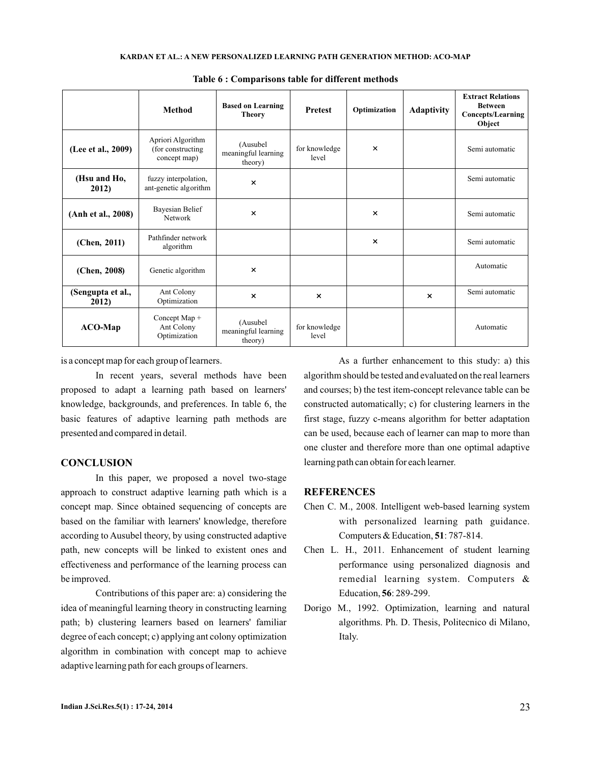|                            | <b>Method</b>                                           | <b>Based on Learning</b><br><b>Theory</b>  | <b>Prefest</b>         | Optimization | <b>Adaptivity</b>     | <b>Extract Relations</b><br><b>Between</b><br><b>Concepts/Learning</b><br>Object |
|----------------------------|---------------------------------------------------------|--------------------------------------------|------------------------|--------------|-----------------------|----------------------------------------------------------------------------------|
| (Lee et al., 2009)         | Apriori Algorithm<br>(for constructing)<br>concept map) | (Ausubel<br>meaningful learning<br>theory) | for knowledge<br>level | $\times$     |                       | Semi automatic                                                                   |
| (Hsu and Ho,<br>2012)      | fuzzy interpolation,<br>ant-genetic algorithm           | $\boldsymbol{\mathsf{x}}$                  |                        |              |                       | Semi automatic                                                                   |
| (Anh et al., 2008)         | <b>Bayesian Belief</b><br><b>Network</b>                | $\times$                                   |                        | $\times$     |                       | Semi automatic                                                                   |
| (Chen, 2011)               | Pathfinder network<br>algorithm                         |                                            |                        | $\times$     |                       | Semi automatic                                                                   |
| (Chen, 2008)               | Genetic algorithm                                       | $\boldsymbol{\times}$                      |                        |              |                       | Automatic                                                                        |
| (Sengupta et al.,<br>2012) | Ant Colony<br>Optimization                              | $\boldsymbol{\mathsf{x}}$                  | $\times$               |              | $\boldsymbol{\times}$ | Semi automatic                                                                   |
| $ACO-Map$                  | Concept Map +<br>Ant Colony<br>Optimization             | (Ausubel<br>meaningful learning<br>theory) | for knowledge<br>level |              |                       | Automatic                                                                        |

**Table 6 : Comparisons table for different methods**

is a concept map for each group of learners.

In recent years, several methods have been proposed to adapt a learning path based on learners' knowledge, backgrounds, and preferences. In table 6, the basic features of adaptive learning path methods are presented and compared in detail.

## **CONCLUSION**

In this paper, we proposed a novel two-stage approach to construct adaptive learning path which is a concept map. Since obtained sequencing of concepts are based on the familiar with learners' knowledge, therefore according to Ausubel theory, by using constructed adaptive path, new concepts will be linked to existent ones and effectiveness and performance of the learning process can be improved.

Contributions of this paper are: a) considering the idea of meaningful learning theory in constructing learning path; b) clustering learners based on learners' familiar degree of each concept; c) applying ant colony optimization algorithm in combination with concept map to achieve adaptive learning path for each groups of learners.

As a further enhancement to this study: a) this algorithm should be tested and evaluated on the real learners and courses; b) the test item-concept relevance table can be constructed automatically; c) for clustering learners in the first stage, fuzzy c-means algorithm for better adaptation can be used, because each of learner can map to more than one cluster and therefore more than one optimal adaptive learning path can obtain for each learner.

### **REFERENCES**

- Chen C. M., 2008. Intelligent web-based learning system with personalized learning path guidance. Computers  $& Education, 51: 787-814.$
- Chen L. H., 2011. Enhancement of student learning performance using personalized diagnosis and remedial learning system. Computers & Education, **56**: 289-299.
- Dorigo M., 1992. Optimization, learning and natural algorithms. Ph. D. Thesis, Politecnico di Milano, Italy.